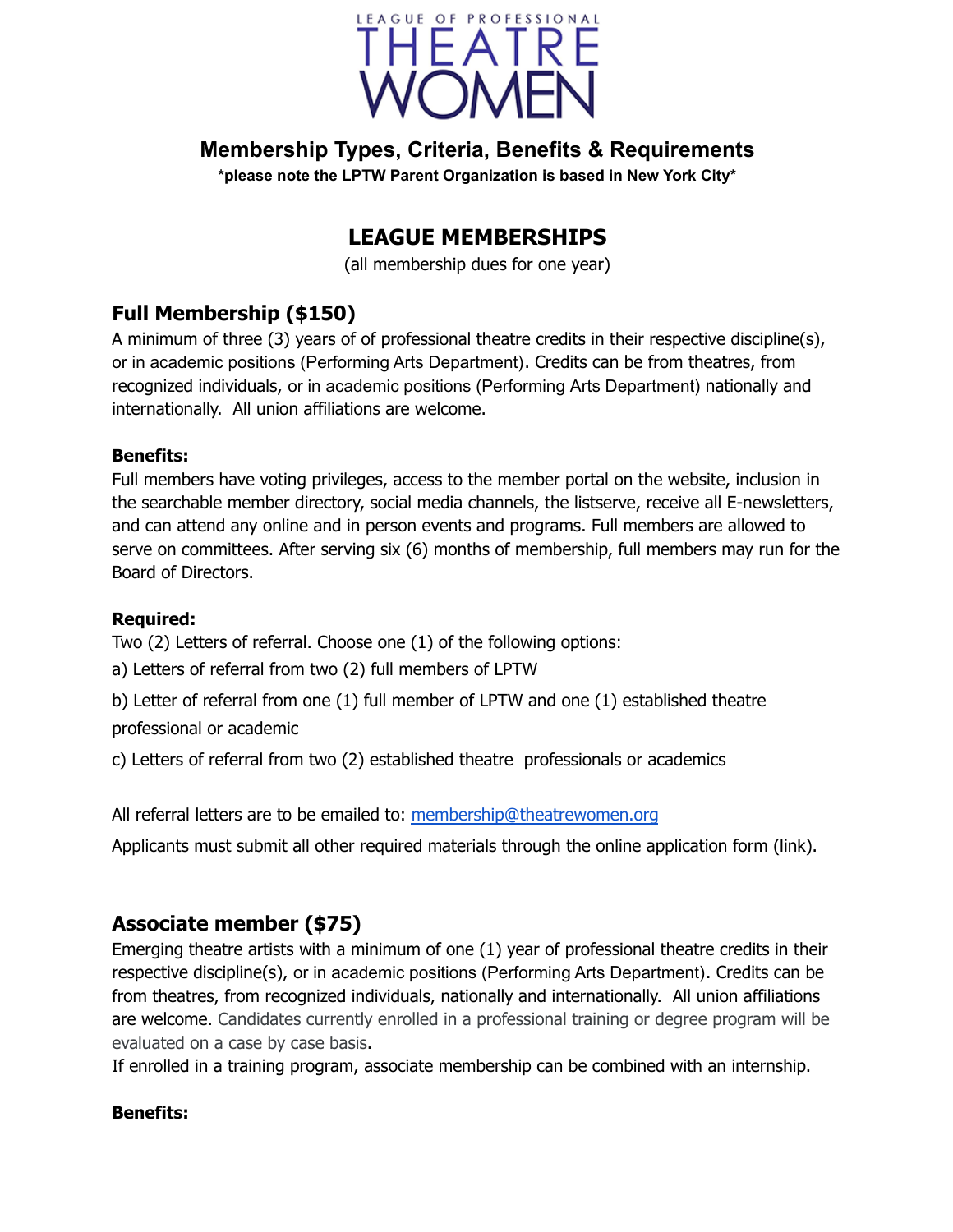

# **Membership Types, Criteria, Benefits & Requirements**

**\*please note the LPTW Parent Organization is based in New York City\***

# **LEAGUE MEMBERSHIPS**

(all membership dues for one year)

# **Full Membership (\$150)**

A minimum of three (3) years of of professional theatre credits in their respective discipline(s), or in academic positions (Performing Arts Department). Credits can be from theatres, from recognized individuals, or in academic positions (Performing Arts Department) nationally and internationally. All union affiliations are welcome.

#### **Benefits:**

Full members have voting privileges, access to the member portal on the website, inclusion in the searchable member directory, social media channels, the listserve, receive all E-newsletters, and can attend any online and in person events and programs. Full members are allowed to serve on committees. After serving six (6) months of membership, full members may run for the Board of Directors.

### **Required:**

Two (2) Letters of referral. Choose one (1) of the following options:

a) Letters of referral from two (2) full members of LPTW

b) Letter of referral from one (1) full member of LPTW and one (1) established theatre professional or academic

c) Letters of referral from two (2) established theatre professionals or academics

All referral letters are to be emailed to: membership@theatrewomen.org

Applicants must submit all other required materials through the online application form (link).

### **Associate member (\$75)**

Emerging theatre artists with a minimum of one (1) year of professional theatre credits in their respective discipline(s), or in academic positions (Performing Arts Department). Credits can be from theatres, from recognized individuals, nationally and internationally. All union affiliations are welcome. Candidates currently enrolled in a professional training or degree program will be evaluated on a case by case basis.

If enrolled in a training program, associate membership can be combined with an internship.

### **Benefits:**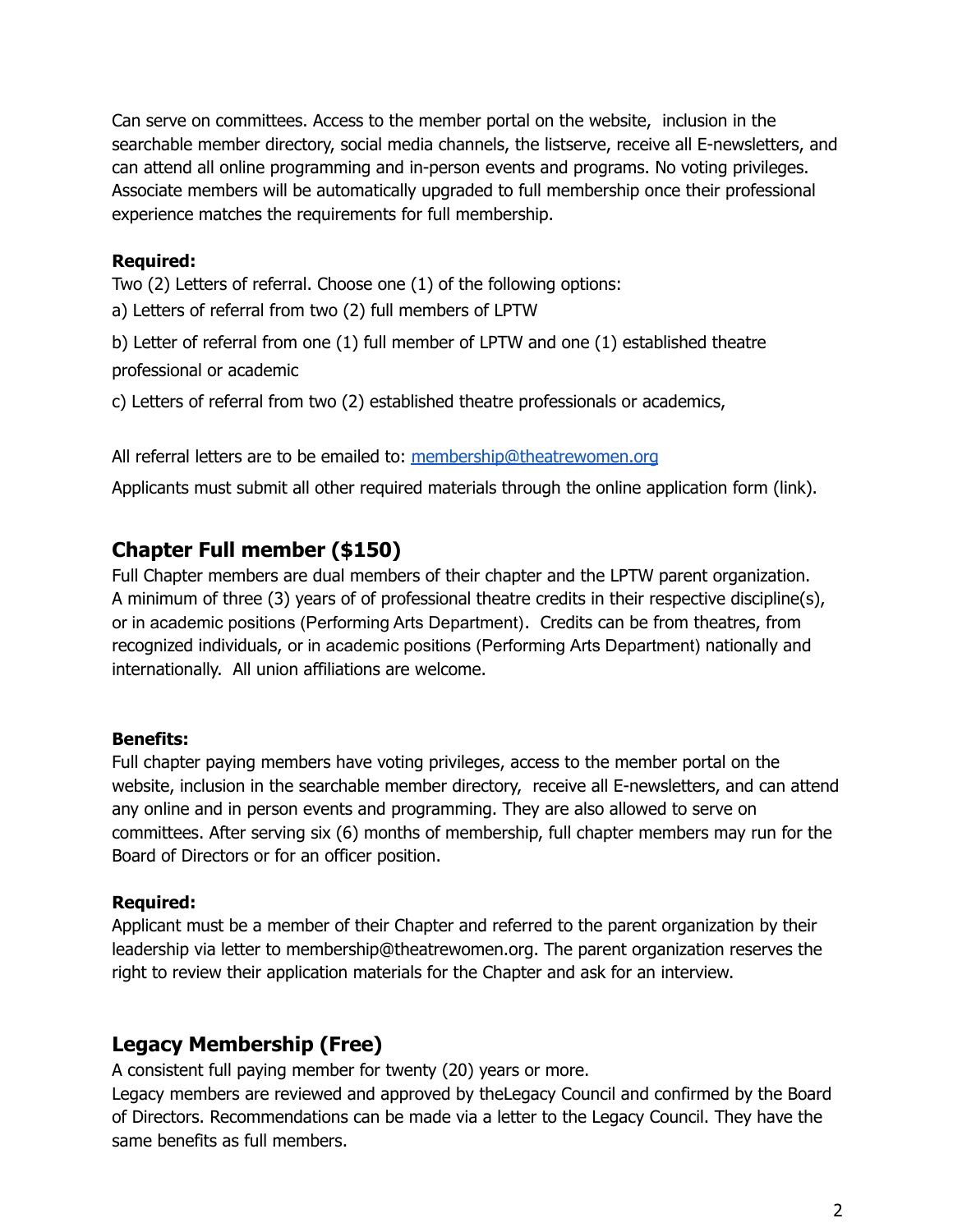Can serve on committees. Access to the member portal on the website, inclusion in the searchable member directory, social media channels, the listserve, receive all E-newsletters, and can attend all online programming and in-person events and programs. No voting privileges. Associate members will be automatically upgraded to full membership once their professional experience matches the requirements for full membership.

#### **Required:**

Two (2) Letters of referral. Choose one (1) of the following options:

a) Letters of referral from two (2) full members of LPTW

b) Letter of referral from one (1) full member of LPTW and one (1) established theatre professional or academic

c) Letters of referral from two (2) established theatre professionals or academics,

All referral letters are to be emailed to: membership@theatrewomen.org

Applicants must submit all other required materials through the online application form (link).

### **Chapter Full member (\$150)**

Full Chapter members are dual members of their chapter and the LPTW parent organization. A minimum of three (3) years of of professional theatre credits in their respective discipline(s), or in academic positions (Performing Arts Department). Credits can be from theatres, from recognized individuals, or in academic positions (Performing Arts Department) nationally and internationally. All union affiliations are welcome.

### **Benefits:**

Full chapter paying members have voting privileges, access to the member portal on the website, inclusion in the searchable member directory, receive all E-newsletters, and can attend any online and in person events and programming. They are also allowed to serve on committees. After serving six (6) months of membership, full chapter members may run for the Board of Directors or for an officer position.

### **Required:**

Applicant must be a member of their Chapter and referred to the parent organization by their leadership via letter to membership@theatrewomen.org. The parent organization reserves the right to review their application materials for the Chapter and ask for an interview.

### **Legacy Membership (Free)**

A consistent full paying member for twenty (20) years or more.

Legacy members are reviewed and approved by theLegacy Council and confirmed by the Board of Directors. Recommendations can be made via a letter to the Legacy Council. They have the same benefits as full members.